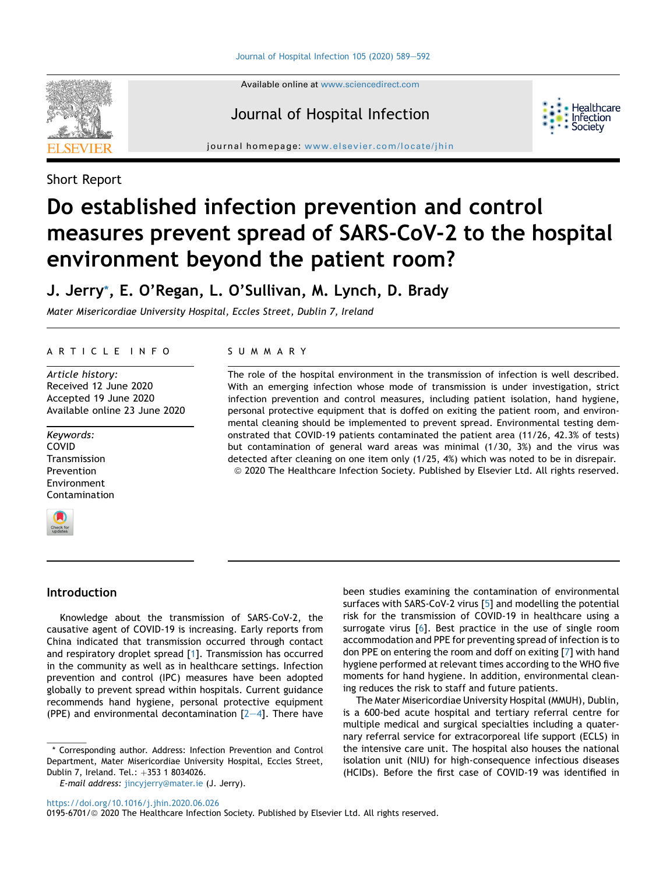Available online at [www.sciencedirect.com](www.sciencedirect.com/science/journal/01956701)

# Journal of Hospital Infection

journal homepage: [www.elsevier.com/locate/jhin](http://www.elsevier.com/locate/jhin)



# Do established infection prevention and control measures prevent spread of SARS-CoV-2 to the hospital environment beyond the patient room?

# J. Jerr[y\\*,](#page-0-0) E. O'Regan, L. O'Sullivan, M. Lynch, D. Brady

Mater Misericordiae University Hospital, Eccles Street, Dublin 7, Ireland

#### ARTICLE INFO

Article history: Received 12 June 2020 Accepted 19 June 2020 Available online 23 June 2020

Keywords: COVID Transmission Prevention Environment Contamination



#### SUMMARY

The role of the hospital environment in the transmission of infection is well described. With an emerging infection whose mode of transmission is under investigation, strict infection prevention and control measures, including patient isolation, hand hygiene, personal protective equipment that is doffed on exiting the patient room, and environmental cleaning should be implemented to prevent spread. Environmental testing demonstrated that COVID-19 patients contaminated the patient area (11/26, 42.3% of tests) but contamination of general ward areas was minimal (1/30, 3%) and the virus was detected after cleaning on one item only (1/25, 4%) which was noted to be in disrepair. ª 2020 The Healthcare Infection Society. Published by Elsevier Ltd. All rights reserved.

#### Introduction

Knowledge about the transmission of SARS-CoV-2, the causative agent of COVID-19 is increasing. Early reports from China indicated that transmission occurred through contact and respiratory droplet spread [\[1\]](#page-2-0). Transmission has occurred in the community as well as in healthcare settings. Infection prevention and control (IPC) measures have been adopted globally to prevent spread within hospitals. Current guidance recommends hand hygiene, personal protective equipment (PPE) and environmental decontamination  $[2-4]$  $[2-4]$  $[2-4]$  $[2-4]$ . There have

<span id="page-0-0"></span>Corresponding author. Address: Infection Prevention and Control Department, Mater Misericordiae University Hospital, Eccles Street, Dublin 7, Ireland. Tel.: +353 1 8034026.

E-mail address: [jincyjerry@mater.ie](mailto:jincyjerry@mater.ie) (J. Jerry).

been studies examining the contamination of environmental surfaces with SARS-CoV-2 virus [\[5\]](#page-2-2) and modelling the potential risk for the transmission of COVID-19 in healthcare using a surrogate virus [\[6](#page-2-3)]. Best practice in the use of single room accommodation and PPE for preventing spread of infection is to don PPE on entering the room and doff on exiting [[7](#page-2-4)] with hand hygiene performed at relevant times according to the WHO five moments for hand hygiene. In addition, environmental cleaning reduces the risk to staff and future patients.

Healthcare Infection ocietv

The Mater Misericordiae University Hospital (MMUH), Dublin, is a 600-bed acute hospital and tertiary referral centre for multiple medical and surgical specialties including a quaternary referral service for extracorporeal life support (ECLS) in the intensive care unit. The hospital also houses the national isolation unit (NIU) for high-consequence infectious diseases (HCIDs). Before the first case of COVID-19 was identified in

<https://doi.org/10.1016/j.jhin.2020.06.026>

0195-6701/@ 2020 The Healthcare Infection Society. Published by Elsevier Ltd. All rights reserved.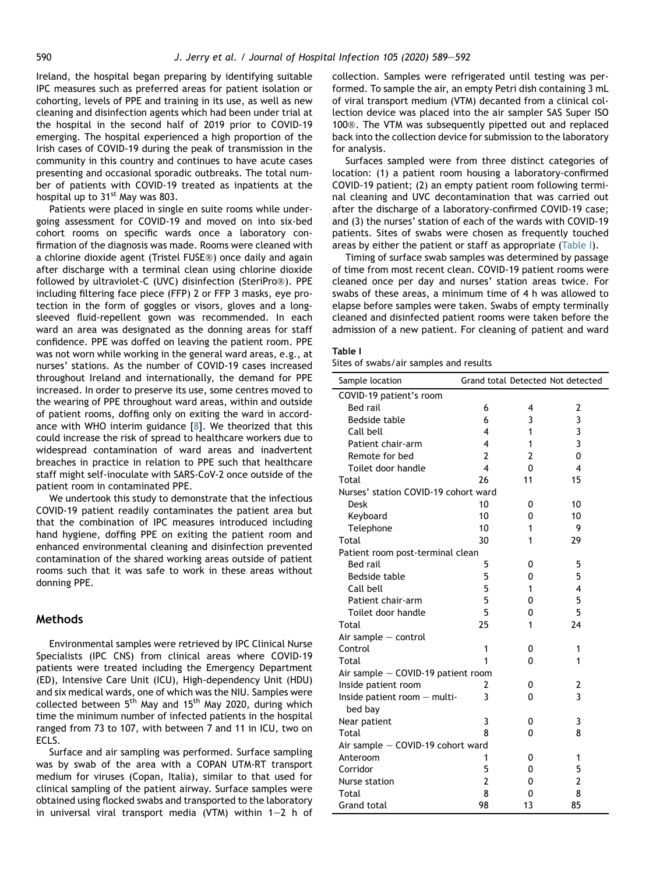Ireland, the hospital began preparing by identifying suitable IPC measures such as preferred areas for patient isolation or cohorting, levels of PPE and training in its use, as well as new cleaning and disinfection agents which had been under trial at the hospital in the second half of 2019 prior to COVID-19 emerging. The hospital experienced a high proportion of the Irish cases of COVID-19 during the peak of transmission in the community in this country and continues to have acute cases presenting and occasional sporadic outbreaks. The total number of patients with COVID-19 treated as inpatients at the hospital up to  $31<sup>st</sup>$  May was 803.

Patients were placed in single en suite rooms while undergoing assessment for COVID-19 and moved on into six-bed cohort rooms on specific wards once a laboratory confirmation of the diagnosis was made. Rooms were cleaned with a chlorine dioxide agent (Tristel FUSE®) once daily and again after discharge with a terminal clean using chlorine dioxide followed by ultraviolet-C (UVC) disinfection (SteriPro-). PPE including filtering face piece (FFP) 2 or FFP 3 masks, eye protection in the form of goggles or visors, gloves and a longsleeved fluid-repellent gown was recommended. In each ward an area was designated as the donning areas for staff confidence. PPE was doffed on leaving the patient room. PPE was not worn while working in the general ward areas, e.g., at nurses' stations. As the number of COVID-19 cases increased throughout Ireland and internationally, the demand for PPE increased. In order to preserve its use, some centres moved to the wearing of PPE throughout ward areas, within and outside of patient rooms, doffing only on exiting the ward in accordance with WHO interim guidance  $[8]$  $[8]$ . We theorized that this could increase the risk of spread to healthcare workers due to widespread contamination of ward areas and inadvertent breaches in practice in relation to PPE such that healthcare staff might self-inoculate with SARS-CoV-2 once outside of the patient room in contaminated PPE.

We undertook this study to demonstrate that the infectious COVID-19 patient readily contaminates the patient area but that the combination of IPC measures introduced including hand hygiene, doffing PPE on exiting the patient room and enhanced environmental cleaning and disinfection prevented contamination of the shared working areas outside of patient rooms such that it was safe to work in these areas without donning PPE.

## Methods

Environmental samples were retrieved by IPC Clinical Nurse Specialists (IPC CNS) from clinical areas where COVID-19 patients were treated including the Emergency Department (ED), Intensive Care Unit (ICU), High-dependency Unit (HDU) and six medical wards, one of which was the NIU. Samples were collected between 5<sup>th</sup> May and 15<sup>th</sup> May 2020, during which time the minimum number of infected patients in the hospital ranged from 73 to 107, with between 7 and 11 in ICU, two on ECLS.

Surface and air sampling was performed. Surface sampling was by swab of the area with a COPAN UTM-RT transport medium for viruses (Copan, Italia), similar to that used for clinical sampling of the patient airway. Surface samples were obtained using flocked swabs and transported to the laboratory in universal viral transport media (VTM) within  $1-2$  h of collection. Samples were refrigerated until testing was performed. To sample the air, an empty Petri dish containing 3 mL of viral transport medium (VTM) decanted from a clinical collection device was placed into the air sampler SAS Super ISO 100®. The VTM was subsequently pipetted out and replaced back into the collection device for submission to the laboratory for analysis.

Surfaces sampled were from three distinct categories of location: (1) a patient room housing a laboratory-confirmed COVID-19 patient; (2) an empty patient room following terminal cleaning and UVC decontamination that was carried out after the discharge of a laboratory-confirmed COVID-19 case; and (3) the nurses' station of each of the wards with COVID-19 patients. Sites of swabs were chosen as frequently touched areas by either the patient or staff as appropriate [\(Table I\)](#page-1-0).

Timing of surface swab samples was determined by passage of time from most recent clean. COVID-19 patient rooms were cleaned once per day and nurses' station areas twice. For swabs of these areas, a minimum time of 4 h was allowed to elapse before samples were taken. Swabs of empty terminally cleaned and disinfected patient rooms were taken before the admission of a new patient. For cleaning of patient and ward

#### <span id="page-1-0"></span>Table I

Sites of swabs/air samples and results

| Sample location                           |                |    | Grand total Detected Not detected |
|-------------------------------------------|----------------|----|-----------------------------------|
| COVID-19 patient's room                   |                |    |                                   |
| <b>Bed rail</b>                           | 6              | 4  | 2                                 |
| Bedside table                             | 6              | 3  | 3                                 |
| Call bell                                 | 4              | 1  | 3                                 |
| Patient chair-arm                         | 4              | 1  | 3                                 |
| Remote for bed                            | 2              | 2  | $\mathbf 0$                       |
| Toilet door handle                        | 4              | 0  | $\overline{\mathbf{4}}$           |
| Total                                     | 26             | 11 | 15                                |
| Nurses' station COVID-19 cohort ward      |                |    |                                   |
| <b>Desk</b>                               | 10             | 0  | 10                                |
| Keyboard                                  | 10             | 0  | 10                                |
| Telephone                                 | 10             | 1  | 9                                 |
| Total                                     | 30             | 1  | 29                                |
| Patient room post-terminal clean          |                |    |                                   |
| <b>Bed rail</b>                           | 5              | 0  | 5                                 |
| Bedside table                             | 5              | 0  | 5                                 |
| Call bell                                 | 5              | 1  | $\overline{\mathbf{4}}$           |
| Patient chair-arm                         | 5              | 0  | 5                                 |
| Toilet door handle                        | 5              | 0  | 5                                 |
| Total                                     | 25             | 1  | 24                                |
| Air sample - control                      |                |    |                                   |
| Control                                   | 1              | 0  | 1                                 |
| Total                                     |                | 0  | 1                                 |
| Air sample - COVID-19 patient room        |                |    |                                   |
| Inside patient room                       | 2              | 0  | 2                                 |
| Inside patient room $-$ multi-<br>bed bay | 3              | 0  | 3                                 |
| Near patient                              | 3              | 0  | 3                                 |
| Total                                     | 8              | 0  | 8                                 |
| Air sample - COVID-19 cohort ward         |                |    |                                   |
| Anteroom                                  | 1              | 0  | 1                                 |
| Corridor                                  | 5              | 0  | 5                                 |
| Nurse station                             | $\overline{2}$ | 0  | $\overline{2}$                    |
| Total                                     | 8              | 0  | 8                                 |
| <b>Grand total</b>                        | 98             | 13 | 85                                |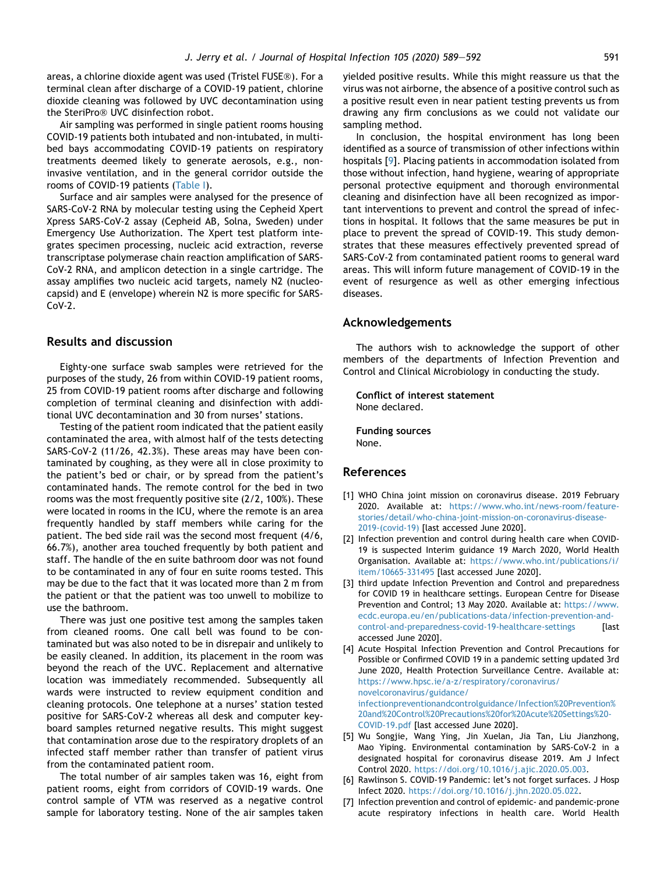areas, a chlorine dioxide agent was used (Tristel FUSE®). For a terminal clean after discharge of a COVID-19 patient, chlorine dioxide cleaning was followed by UVC decontamination using the SteriPro® UVC disinfection robot.

Air sampling was performed in single patient rooms housing COVID-19 patients both intubated and non-intubated, in multibed bays accommodating COVID-19 patients on respiratory treatments deemed likely to generate aerosols, e.g., noninvasive ventilation, and in the general corridor outside the rooms of COVID-19 patients [\(Table I\)](#page-1-0).

Surface and air samples were analysed for the presence of SARS-CoV-2 RNA by molecular testing using the Cepheid Xpert Xpress SARS-CoV-2 assay (Cepheid AB, Solna, Sweden) under Emergency Use Authorization. The Xpert test platform integrates specimen processing, nucleic acid extraction, reverse transcriptase polymerase chain reaction amplification of SARS-CoV-2 RNA, and amplicon detection in a single cartridge. The assay amplifies two nucleic acid targets, namely N2 (nucleocapsid) and E (envelope) wherein N2 is more specific for SARS-CoV-2.

## Results and discussion

Eighty-one surface swab samples were retrieved for the purposes of the study, 26 from within COVID-19 patient rooms, 25 from COVID-19 patient rooms after discharge and following completion of terminal cleaning and disinfection with additional UVC decontamination and 30 from nurses' stations.

Testing of the patient room indicated that the patient easily contaminated the area, with almost half of the tests detecting SARS-CoV-2 (11/26, 42.3%). These areas may have been contaminated by coughing, as they were all in close proximity to the patient's bed or chair, or by spread from the patient's contaminated hands. The remote control for the bed in two rooms was the most frequently positive site (2/2, 100%). These were located in rooms in the ICU, where the remote is an area frequently handled by staff members while caring for the patient. The bed side rail was the second most frequent (4/6, 66.7%), another area touched frequently by both patient and staff. The handle of the en suite bathroom door was not found to be contaminated in any of four en suite rooms tested. This may be due to the fact that it was located more than 2 m from the patient or that the patient was too unwell to mobilize to use the bathroom.

There was just one positive test among the samples taken from cleaned rooms. One call bell was found to be contaminated but was also noted to be in disrepair and unlikely to be easily cleaned. In addition, its placement in the room was beyond the reach of the UVC. Replacement and alternative location was immediately recommended. Subsequently all wards were instructed to review equipment condition and cleaning protocols. One telephone at a nurses' station tested positive for SARS-CoV-2 whereas all desk and computer keyboard samples returned negative results. This might suggest that contamination arose due to the respiratory droplets of an infected staff member rather than transfer of patient virus from the contaminated patient room.

The total number of air samples taken was 16, eight from patient rooms, eight from corridors of COVID-19 wards. One control sample of VTM was reserved as a negative control sample for laboratory testing. None of the air samples taken yielded positive results. While this might reassure us that the virus was not airborne, the absence of a positive control such as a positive result even in near patient testing prevents us from drawing any firm conclusions as we could not validate our sampling method.

In conclusion, the hospital environment has long been identified as a source of transmission of other infections within hospitals [[9](#page-3-1)]. Placing patients in accommodation isolated from those without infection, hand hygiene, wearing of appropriate personal protective equipment and thorough environmental cleaning and disinfection have all been recognized as important interventions to prevent and control the spread of infections in hospital. It follows that the same measures be put in place to prevent the spread of COVID-19. This study demonstrates that these measures effectively prevented spread of SARS-CoV-2 from contaminated patient rooms to general ward areas. This will inform future management of COVID-19 in the event of resurgence as well as other emerging infectious diseases.

## Acknowledgements

The authors wish to acknowledge the support of other members of the departments of Infection Prevention and Control and Clinical Microbiology in conducting the study.

Conflict of interest statement None declared.

Funding sources None.

## References

- <span id="page-2-0"></span>[1] WHO China joint mission on coronavirus disease. 2019 February 2020. Available at: [https://www.who.int/news-room/feature](https://www.who.int/news-room/feature-stories/detail/who-china-joint-mission-on-coronavirus-disease-2019-(covid-19))[stories/detail/who-china-joint-mission-on-coronavirus-disease-](https://www.who.int/news-room/feature-stories/detail/who-china-joint-mission-on-coronavirus-disease-2019-(covid-19))[2019-\(covid-19\)](https://www.who.int/news-room/feature-stories/detail/who-china-joint-mission-on-coronavirus-disease-2019-(covid-19)) [last accessed June 2020].
- <span id="page-2-1"></span>[2] Infection prevention and control during health care when COVID-19 is suspected Interim guidance 19 March 2020, World Health Organisation. Available at: [https://www.who.int/publications/i/](https://www.who.int/publications/i/item/10665-331495) [item/10665-331495](https://www.who.int/publications/i/item/10665-331495) [last accessed June 2020].
- [3] third update Infection Prevention and Control and preparedness for COVID 19 in healthcare settings. European Centre for Disease Prevention and Control; 13 May 2020. Available at: [https://www.](https://www.ecdc.europa.eu/en/publications-data/infection-prevention-and-control-and-preparedness-covid-19-healthcare-settings) [ecdc.europa.eu/en/publications-data/infection-prevention-and](https://www.ecdc.europa.eu/en/publications-data/infection-prevention-and-control-and-preparedness-covid-19-healthcare-settings)[control-and-preparedness-covid-19-healthcare-settings](https://www.ecdc.europa.eu/en/publications-data/infection-prevention-and-control-and-preparedness-covid-19-healthcare-settings) [last accessed June 2020].
- [4] Acute Hospital Infection Prevention and Control Precautions for Possible or Confirmed COVID 19 in a pandemic setting updated 3rd June 2020, Health Protection Surveillance Centre. Available at: [https://www.hpsc.ie/a-z/respiratory/coronavirus/](https://www.hpsc.ie/a-z/respiratory/coronavirus/novelcoronavirus/guidance/infectionpreventionandcontrolguidance/Infection%20Prevention%20and%20Control%20Precautions%20for%20Acute%20Settings%20-COVID-19.pdf) [novelcoronavirus/guidance/](https://www.hpsc.ie/a-z/respiratory/coronavirus/novelcoronavirus/guidance/infectionpreventionandcontrolguidance/Infection%20Prevention%20and%20Control%20Precautions%20for%20Acute%20Settings%20-COVID-19.pdf) [infectionpreventionandcontrolguidance/Infection%20Prevention%](https://www.hpsc.ie/a-z/respiratory/coronavirus/novelcoronavirus/guidance/infectionpreventionandcontrolguidance/Infection%20Prevention%20and%20Control%20Precautions%20for%20Acute%20Settings%20-COVID-19.pdf) [20and%20Control%20Precautions%20for%20Acute%20Settings%20-](https://www.hpsc.ie/a-z/respiratory/coronavirus/novelcoronavirus/guidance/infectionpreventionandcontrolguidance/Infection%20Prevention%20and%20Control%20Precautions%20for%20Acute%20Settings%20-COVID-19.pdf) [COVID-19.pdf](https://www.hpsc.ie/a-z/respiratory/coronavirus/novelcoronavirus/guidance/infectionpreventionandcontrolguidance/Infection%20Prevention%20and%20Control%20Precautions%20for%20Acute%20Settings%20-COVID-19.pdf) [last accessed June 2020].
- <span id="page-2-2"></span>[5] Wu Songjie, Wang Ying, Jin Xuelan, Jia Tan, Liu Jianzhong, Mao Yiping. Environmental contamination by SARS-CoV-2 in a designated hospital for coronavirus disease 2019. Am J Infect Control 2020. <https://doi.org/10.1016/j.ajic.2020.05.003>.
- <span id="page-2-3"></span>[6] Rawlinson S. COVID-19 Pandemic: let's not forget surfaces. J Hosp Infect 2020. [https://doi.org/10.1016/j.jhn.2020.05.022.](https://doi.org/10.1016/j.jhn.2020.05.022)
- <span id="page-2-4"></span>[7] Infection prevention and control of epidemic- and pandemic-prone acute respiratory infections in health care. World Health